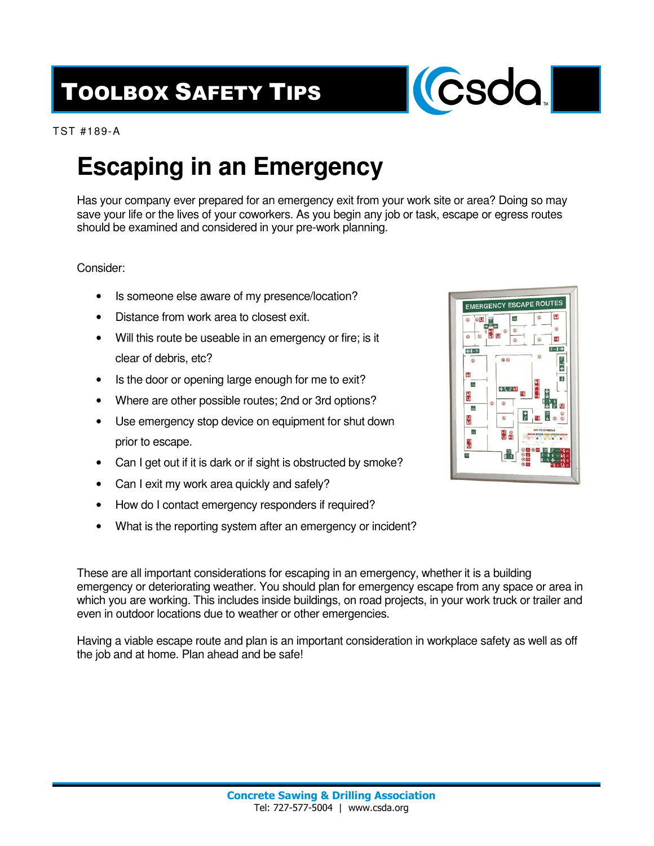## TOOLBOX SAFETY TIPS



TST #189-A

## **Escaping in an Emergency**

Has your company ever prepared for an emergency exit from your work site or area? Doing so may save your life or the lives of your coworkers. As you begin any job or task, escape or egress routes should be examined and considered in your pre-work planning.

## Consider:

- Is someone else aware of my presence/location?
- Distance from work area to closest exit.
- Will this route be useable in an emergency or fire; is it clear of debris, etc?
- Is the door or opening large enough for me to exit?
- Where are other possible routes; 2nd or 3rd options?
- Use emergency stop device on equipment for shut down prior to escape.
- Can I get out if it is dark or if sight is obstructed by smoke?
- Can I exit my work area quickly and safely?
- How do I contact emergency responders if required?
- What is the reporting system after an emergency or incident?

These are all important considerations for escaping in an emergency, whether it is a building emergency or deteriorating weather. You should plan for emergency escape from any space or area in which you are working. This includes inside buildings, on road projects, in your work truck or trailer and even in outdoor locations due to weather or other emergencies.

Having a viable escape route and plan is an important consideration in workplace safety as well as off the job and at home. Plan ahead and be safe!